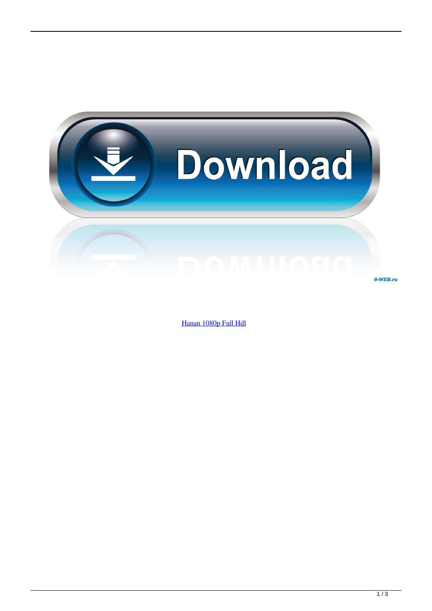

0-WEB.ru

[Hanan 1080p Full Hdl](http://eseclist.com/morva/numbingly=treason.SGFuYW4gMTA4MHAgRnVsbCBIZGwSGF?prefetching=aaca&ZG93bmxvYWR8cXIyTTJObWFEZGlmSHd4TmpBeE16RTBNakF6Zkh3eU16TTJmSHdvVFU5T1UxUkZVaWtnU0dWeWIydDFJRnRRUkVaZA=styled)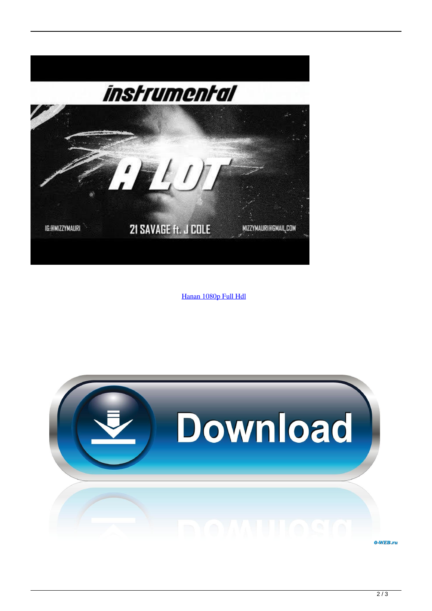

[Hanan 1080p Full Hdl](http://eseclist.com/morva/numbingly=treason.SGFuYW4gMTA4MHAgRnVsbCBIZGwSGF?prefetching=aaca&ZG93bmxvYWR8cXIyTTJObWFEZGlmSHd4TmpBeE16RTBNakF6Zkh3eU16TTJmSHdvVFU5T1UxUkZVaWtnU0dWeWIydDFJRnRRUkVaZA=styled)